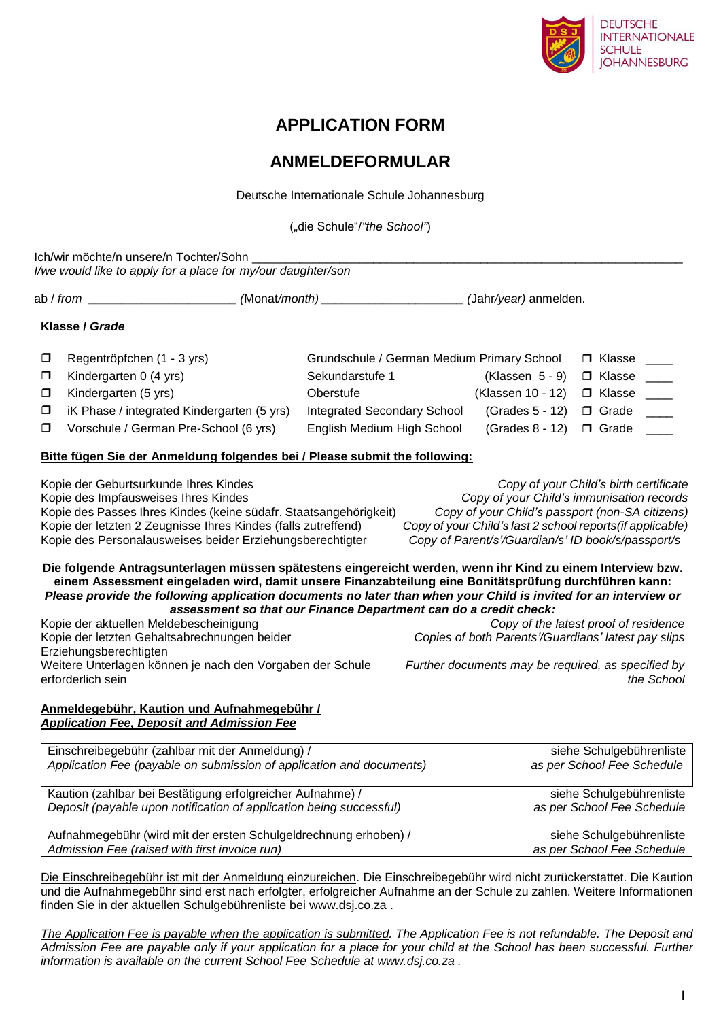

# **APPLICATION FORM**

## **ANMELDEFORMULAR**

Deutsche Internationale Schule Johannesburg

("die Schule"/*"the School"*)

|                                                                                        | Ich/wir möchte/n unsere/n Tochter/Sohn<br>I/we would like to apply for a place for my/our daughter/son                                                                                                                                                                                                                                                                                                                                                                                                                                                                                                                     |                                                                  |                                                                                              |                                                                                                                                                                                                                                                            |  |  |
|----------------------------------------------------------------------------------------|----------------------------------------------------------------------------------------------------------------------------------------------------------------------------------------------------------------------------------------------------------------------------------------------------------------------------------------------------------------------------------------------------------------------------------------------------------------------------------------------------------------------------------------------------------------------------------------------------------------------------|------------------------------------------------------------------|----------------------------------------------------------------------------------------------|------------------------------------------------------------------------------------------------------------------------------------------------------------------------------------------------------------------------------------------------------------|--|--|
|                                                                                        |                                                                                                                                                                                                                                                                                                                                                                                                                                                                                                                                                                                                                            |                                                                  |                                                                                              |                                                                                                                                                                                                                                                            |  |  |
|                                                                                        | Klasse / Grade                                                                                                                                                                                                                                                                                                                                                                                                                                                                                                                                                                                                             |                                                                  |                                                                                              |                                                                                                                                                                                                                                                            |  |  |
| $\Box$                                                                                 | Regentröpfchen (1 - 3 yrs)                                                                                                                                                                                                                                                                                                                                                                                                                                                                                                                                                                                                 |                                                                  | Grundschule / German Medium Primary School                                                   | $\Box$ Klasse ____                                                                                                                                                                                                                                         |  |  |
| 0                                                                                      | Kindergarten 0 (4 yrs)                                                                                                                                                                                                                                                                                                                                                                                                                                                                                                                                                                                                     | Sekundarstufe 1                                                  | $(Klassen 5 - 9)$                                                                            | □ Klasse                                                                                                                                                                                                                                                   |  |  |
| $\Box$                                                                                 | Kindergarten (5 yrs)                                                                                                                                                                                                                                                                                                                                                                                                                                                                                                                                                                                                       | Oberstufe                                                        | (Klassen 10 - 12)                                                                            | $\Box$ Klasse $\_\_$                                                                                                                                                                                                                                       |  |  |
| $\Box$                                                                                 | iK Phase / integrated Kindergarten (5 yrs)                                                                                                                                                                                                                                                                                                                                                                                                                                                                                                                                                                                 | <b>Integrated Secondary School</b>                               | (Grades 5 - 12)                                                                              | O Grade ____                                                                                                                                                                                                                                               |  |  |
| $\Box$                                                                                 | Vorschule / German Pre-School (6 yrs)                                                                                                                                                                                                                                                                                                                                                                                                                                                                                                                                                                                      | English Medium High School                                       | (Grades 8 - 12)                                                                              | $\Box$ Grade                                                                                                                                                                                                                                               |  |  |
|                                                                                        | Bitte fügen Sie der Anmeldung folgendes bei / Please submit the following:                                                                                                                                                                                                                                                                                                                                                                                                                                                                                                                                                 |                                                                  |                                                                                              |                                                                                                                                                                                                                                                            |  |  |
|                                                                                        | Kopie der Geburtsurkunde Ihres Kindes<br>Kopie des Impfausweises Ihres Kindes<br>Kopie des Passes Ihres Kindes (keine südafr. Staatsangehörigkeit)<br>Kopie der letzten 2 Zeugnisse Ihres Kindes (falls zutreffend)<br>Kopie des Personalausweises beider Erziehungsberechtigter<br>Die folgende Antragsunterlagen müssen spätestens eingereicht werden, wenn ihr Kind zu einem Interview bzw.<br>einem Assessment eingeladen wird, damit unsere Finanzabteilung eine Bonitätsprüfung durchführen kann:<br>Please provide the following application documents no later than when your Child is invited for an interview or | assessment so that our Finance Department can do a credit check: |                                                                                              | Copy of your Child's birth certificate<br>Copy of your Child's immunisation records<br>Copy of your Child's passport (non-SA citizens)<br>Copy of your Child's last 2 school reports (if applicable)<br>Copy of Parent/s'/Guardian/s' ID book/s/passport/s |  |  |
| Kopie der aktuellen Meldebescheinigung<br>Kopie der letzten Gehaltsabrechnungen beider |                                                                                                                                                                                                                                                                                                                                                                                                                                                                                                                                                                                                                            |                                                                  | Copy of the latest proof of residence<br>Copies of both Parents'/Guardians' latest pay slips |                                                                                                                                                                                                                                                            |  |  |
|                                                                                        | Erziehungsberechtigten<br>Weitere Unterlagen können je nach den Vorgaben der Schule<br>erforderlich sein                                                                                                                                                                                                                                                                                                                                                                                                                                                                                                                   |                                                                  |                                                                                              | Further documents may be required, as specified by<br>the School                                                                                                                                                                                           |  |  |
|                                                                                        | Anmeldegebühr, Kaution und Aufnahmegebühr /<br><b>Application Fee, Deposit and Admission Fee</b>                                                                                                                                                                                                                                                                                                                                                                                                                                                                                                                           |                                                                  |                                                                                              |                                                                                                                                                                                                                                                            |  |  |
|                                                                                        | Einschreibegebühr (zahlbar mit der Anmeldung) /                                                                                                                                                                                                                                                                                                                                                                                                                                                                                                                                                                            |                                                                  |                                                                                              | siehe Schulgebührenliste                                                                                                                                                                                                                                   |  |  |
|                                                                                        | Application Fee (payable on submission of application and documents)                                                                                                                                                                                                                                                                                                                                                                                                                                                                                                                                                       |                                                                  |                                                                                              | as per School Fee Schedule                                                                                                                                                                                                                                 |  |  |
|                                                                                        | Kaution (zahlbar bei Bestätigung erfolgreicher Aufnahme) /                                                                                                                                                                                                                                                                                                                                                                                                                                                                                                                                                                 |                                                                  |                                                                                              | siehe Schulgebührenliste                                                                                                                                                                                                                                   |  |  |
|                                                                                        | Deposit (payable upon notification of application being successful)                                                                                                                                                                                                                                                                                                                                                                                                                                                                                                                                                        |                                                                  |                                                                                              | as per School Fee Schedule                                                                                                                                                                                                                                 |  |  |
|                                                                                        | Aufnahmegebühr (wird mit der ersten Schulgeldrechnung erhoben) /<br>Admission Fee (raised with first invoice run)                                                                                                                                                                                                                                                                                                                                                                                                                                                                                                          |                                                                  |                                                                                              | siehe Schulgebührenliste<br>as per School Fee Schedule                                                                                                                                                                                                     |  |  |

Die Einschreibegebühr ist mit der Anmeldung einzureichen. Die Einschreibegebühr wird nicht zurückerstattet. Die Kaution und die Aufnahmegebühr sind erst nach erfolgter, erfolgreicher Aufnahme an der Schule zu zahlen. Weitere Informationen finden Sie in der aktuellen Schulgebührenliste bei [www.dsj.co.za](http://www.dsj.co.za/) .

*The Application Fee is payable when the application is submitted. The Application Fee is not refundable. The Deposit and Admission Fee are payable only if your application for a place for your child at the School has been successful. Further information is available on the current School Fee Schedule at [www.dsj.co.za](http://www.dsj.co.za/) .*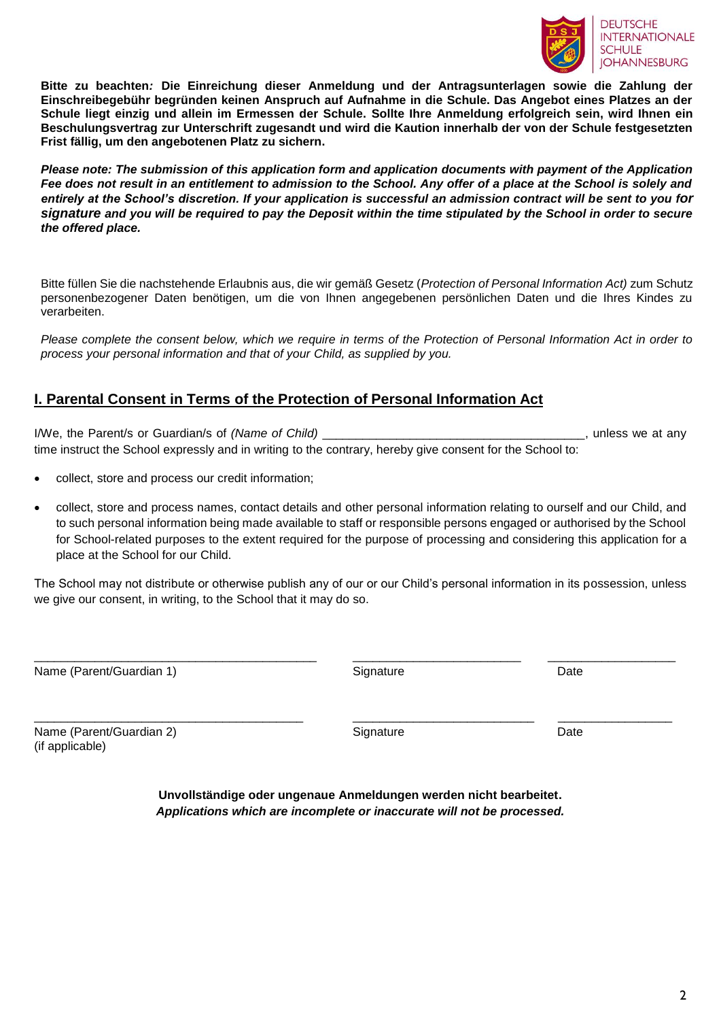

**Bitte zu beachten***:* **Die Einreichung dieser Anmeldung und der Antragsunterlagen sowie die Zahlung der Einschreibegebühr begründen keinen Anspruch auf Aufnahme in die Schule. Das Angebot eines Platzes an der Schule liegt einzig und allein im Ermessen der Schule. Sollte Ihre Anmeldung erfolgreich sein, wird Ihnen ein Beschulungsvertrag zur Unterschrift zugesandt und wird die Kaution innerhalb der von der Schule festgesetzten Frist fällig, um den angebotenen Platz zu sichern.**

*Please note: The submission of this application form and application documents with payment of the Application Fee does not result in an entitlement to admission to the School. Any offer of a place at the School is solely and entirely at the School's discretion. If your application is successful an admission contract will be sent to you for signature and you will be required to pay the Deposit within the time stipulated by the School in order to secure the offered place.* 

Bitte füllen Sie die nachstehende Erlaubnis aus, die wir gemäß Gesetz (*Protection of Personal Information Act)* zum Schutz personenbezogener Daten benötigen, um die von Ihnen angegebenen persönlichen Daten und die Ihres Kindes zu verarbeiten.

*Please complete the consent below, which we require in terms of the Protection of Personal Information Act in order to process your personal information and that of your Child, as supplied by you.* 

#### **I. Parental Consent in Terms of the Protection of Personal Information Act**

I/We, the Parent/s or Guardian/s of *(Name of Child)* \_\_\_\_\_\_\_\_\_\_\_\_\_\_\_\_\_\_\_\_\_\_\_\_\_\_\_\_\_\_\_\_\_\_\_\_\_\_\_, unless we at any time instruct the School expressly and in writing to the contrary, hereby give consent for the School to:

- collect, store and process our credit information;
- collect, store and process names, contact details and other personal information relating to ourself and our Child, and to such personal information being made available to staff or responsible persons engaged or authorised by the School for School-related purposes to the extent required for the purpose of processing and considering this application for a place at the School for our Child.

The School may not distribute or otherwise publish any of our or our Child's personal information in its possession, unless we give our consent, in writing, to the School that it may do so.

\_\_\_\_\_\_\_\_\_\_\_\_\_\_\_\_\_\_\_\_\_\_\_\_\_\_\_\_\_\_\_\_\_\_\_\_\_\_\_\_\_\_ \_\_\_\_\_\_\_\_\_\_\_\_\_\_\_\_\_\_\_\_\_\_\_\_\_ \_\_\_\_\_\_\_\_\_\_\_\_\_\_\_\_\_\_\_

\_\_\_\_\_\_\_\_\_\_\_\_\_\_\_\_\_\_\_\_\_\_\_\_\_\_\_\_\_\_\_\_\_\_\_\_\_\_\_\_ \_\_\_\_\_\_\_\_\_\_\_\_\_\_\_\_\_\_\_\_\_\_\_\_\_\_\_ \_\_\_\_\_\_\_\_\_\_\_\_\_\_\_\_\_

Name (Parent/Guardian 1) and the State of Signature Signature Date Date

Name (Parent/Guardian 2) and Signature Signature Date Date Date (if applicable)

**Unvollständige oder ungenaue Anmeldungen werden nicht bearbeitet.** *Applications which are incomplete or inaccurate will not be processed.*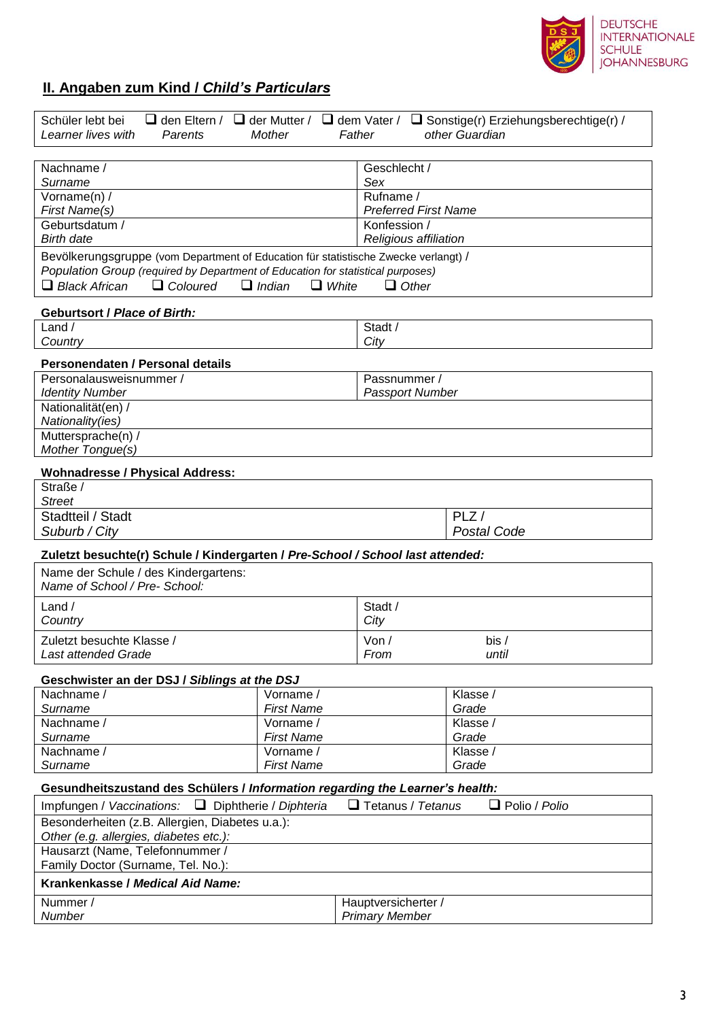

### **II. Angaben zum Kind /** *Child's Particulars*

| $\Box$ den Eltern /<br>Schüler lebt bei<br>Learner lives with<br>Parents                                       | $\Box$ der Mutter /<br><b>Mother</b> | Father                                | $\Box$ dem Vater / $\Box$ Sonstige(r) Erziehungsberechtige(r) /<br>other Guardian |  |  |  |
|----------------------------------------------------------------------------------------------------------------|--------------------------------------|---------------------------------------|-----------------------------------------------------------------------------------|--|--|--|
|                                                                                                                |                                      |                                       |                                                                                   |  |  |  |
| Nachname /<br>Surname                                                                                          |                                      | Geschlecht /<br>Sex                   |                                                                                   |  |  |  |
| Vorname(n) /                                                                                                   |                                      | Rufname /                             |                                                                                   |  |  |  |
| First Name(s)                                                                                                  |                                      |                                       | <b>Preferred First Name</b>                                                       |  |  |  |
| Geburtsdatum /<br><b>Birth date</b>                                                                            |                                      | Konfession /<br>Religious affiliation |                                                                                   |  |  |  |
| Bevölkerungsgruppe (vom Department of Education für statistische Zwecke verlangt) /                            |                                      |                                       |                                                                                   |  |  |  |
| Population Group (required by Department of Education for statistical purposes)                                |                                      |                                       |                                                                                   |  |  |  |
| $\Box$ Black African<br>$\Box$ Coloured                                                                        | $\Box$ Indian<br>$\Box$ White        | $\Box$ Other                          |                                                                                   |  |  |  |
| <b>Geburtsort / Place of Birth:</b>                                                                            |                                      |                                       |                                                                                   |  |  |  |
| Land /<br>Country                                                                                              |                                      | Stadt /<br>City                       |                                                                                   |  |  |  |
| Personendaten / Personal details                                                                               |                                      |                                       |                                                                                   |  |  |  |
| Personalausweisnummer /                                                                                        |                                      | Passnummer /                          |                                                                                   |  |  |  |
| <b>Identity Number</b>                                                                                         |                                      | Passport Number                       |                                                                                   |  |  |  |
| Nationalität(en) /                                                                                             |                                      |                                       |                                                                                   |  |  |  |
| Nationality(ies)<br>Muttersprache(n) /                                                                         |                                      |                                       |                                                                                   |  |  |  |
| Mother Tongue(s)                                                                                               |                                      |                                       |                                                                                   |  |  |  |
| <b>Wohnadresse / Physical Address:</b>                                                                         |                                      |                                       |                                                                                   |  |  |  |
| Straße /                                                                                                       |                                      |                                       |                                                                                   |  |  |  |
| <b>Street</b>                                                                                                  |                                      |                                       |                                                                                   |  |  |  |
| Stadtteil / Stadt<br>Suburb / City                                                                             |                                      |                                       | PLZ/<br><b>Postal Code</b>                                                        |  |  |  |
|                                                                                                                |                                      |                                       |                                                                                   |  |  |  |
| Zuletzt besuchte(r) Schule / Kindergarten / Pre-School / School last attended:                                 |                                      |                                       |                                                                                   |  |  |  |
| Name der Schule / des Kindergartens:<br>Name of School / Pre- School:                                          |                                      |                                       |                                                                                   |  |  |  |
| Land /                                                                                                         |                                      | Stadt /                               |                                                                                   |  |  |  |
| Country                                                                                                        |                                      | City                                  |                                                                                   |  |  |  |
| Zuletzt besuchte Klasse /                                                                                      |                                      | $V \circ n$                           | bis /                                                                             |  |  |  |
| Last attended Grade                                                                                            |                                      | From                                  | until                                                                             |  |  |  |
| Geschwister an der DSJ / Siblings at the DSJ                                                                   |                                      |                                       |                                                                                   |  |  |  |
| Nachname /                                                                                                     | Vorname /                            |                                       | Klasse /                                                                          |  |  |  |
| Surname                                                                                                        | <b>First Name</b>                    |                                       | Grade                                                                             |  |  |  |
| Nachname /<br>Surname                                                                                          | Vorname /<br><b>First Name</b>       |                                       | Klasse /<br>Grade                                                                 |  |  |  |
| Nachname /                                                                                                     | Vorname /                            |                                       | Klasse /                                                                          |  |  |  |
| <b>First Name</b><br>Surname                                                                                   |                                      |                                       | Grade                                                                             |  |  |  |
| Gesundheitszustand des Schülers / Information regarding the Learner's health:                                  |                                      |                                       |                                                                                   |  |  |  |
| $\Box$ Tetanus / Tetanus<br>$\Box$ Polio / Polio<br>Impfungen / Vaccinations:<br>$\Box$ Diphtherie / Diphteria |                                      |                                       |                                                                                   |  |  |  |
| Besonderheiten (z.B. Allergien, Diabetes u.a.):<br>Other (e.g. allergies, diabetes etc.):                      |                                      |                                       |                                                                                   |  |  |  |
| Hausarzt (Name, Telefonnummer /                                                                                |                                      |                                       |                                                                                   |  |  |  |
| Family Doctor (Surname, Tel. No.):                                                                             |                                      |                                       |                                                                                   |  |  |  |
| Krankenkasse / Medical Aid Name:                                                                               |                                      |                                       |                                                                                   |  |  |  |
| Nummer /                                                                                                       |                                      | Hauptversicherter /                   |                                                                                   |  |  |  |
| Number                                                                                                         |                                      | <b>Primary Member</b>                 |                                                                                   |  |  |  |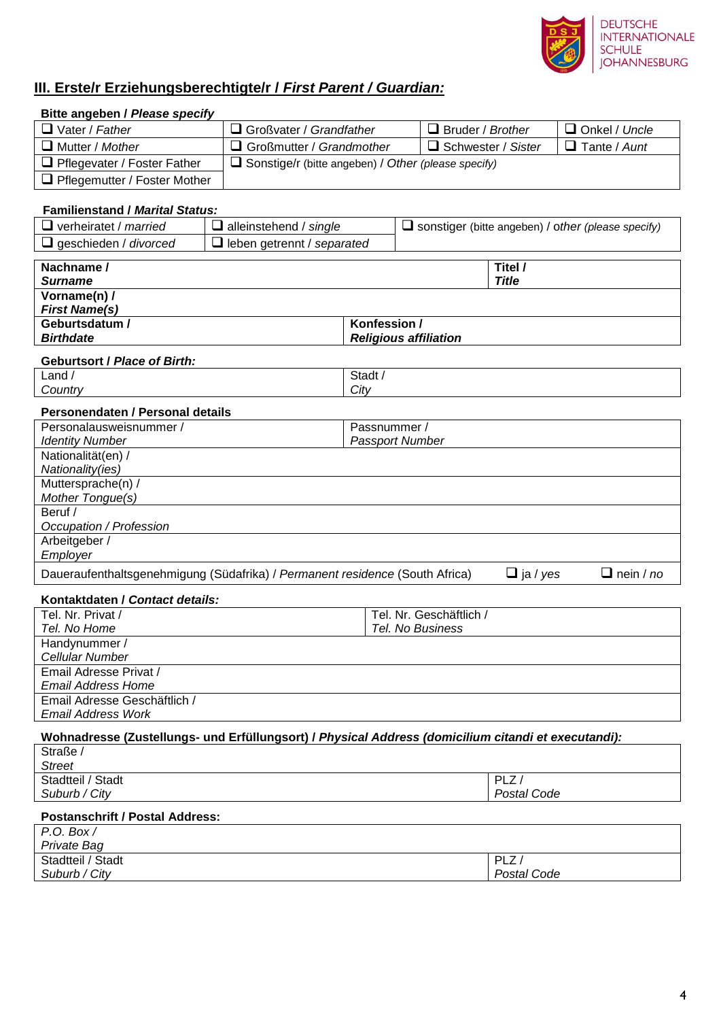

┑

### **III. Erste/r Erziehungsberechtigte/r /** *First Parent / Guardian:*

**Bitte angeben /** *Please specify*

| $\Box$ Vater / Father                                                                               |                                                            | Großvater / Grandfather         |  | $\Box$ Bruder / Brother |                           | $\Box$ Onkel / Uncle                                      |  |
|-----------------------------------------------------------------------------------------------------|------------------------------------------------------------|---------------------------------|--|-------------------------|---------------------------|-----------------------------------------------------------|--|
| $\Box$ Mutter / Mother                                                                              |                                                            | $\Box$ Großmutter / Grandmother |  |                         | $\Box$ Schwester / Sister | $\Box$ Tante / Aunt                                       |  |
| $\Box$ Pflegevater / Foster Father                                                                  | $\Box$ Sonstige/r (bitte angeben) / Other (please specify) |                                 |  |                         |                           |                                                           |  |
| Pflegemutter / Foster Mother                                                                        |                                                            |                                 |  |                         |                           |                                                           |  |
|                                                                                                     |                                                            |                                 |  |                         |                           |                                                           |  |
| <b>Familienstand / Marital Status:</b>                                                              |                                                            |                                 |  |                         |                           |                                                           |  |
| $\Box$ verheiratet / married                                                                        | $\Box$ alleinstehend / single                              |                                 |  |                         |                           | $\Box$ sonstiger (bitte angeben) / other (please specify) |  |
| $\Box$ geschieden / divorced                                                                        | $\Box$ leben getrennt / separated                          |                                 |  |                         |                           |                                                           |  |
|                                                                                                     |                                                            |                                 |  |                         |                           |                                                           |  |
| Nachname /                                                                                          |                                                            |                                 |  | Titel /                 |                           |                                                           |  |
| <b>Surname</b>                                                                                      |                                                            |                                 |  | <b>Title</b>            |                           |                                                           |  |
| Vorname(n) /<br><b>First Name(s)</b>                                                                |                                                            |                                 |  |                         |                           |                                                           |  |
| Geburtsdatum /                                                                                      |                                                            | Konfession /                    |  |                         |                           |                                                           |  |
| <b>Birthdate</b>                                                                                    |                                                            | <b>Religious affiliation</b>    |  |                         |                           |                                                           |  |
|                                                                                                     |                                                            |                                 |  |                         |                           |                                                           |  |
| <b>Geburtsort / Place of Birth:</b>                                                                 |                                                            |                                 |  |                         |                           |                                                           |  |
| Land /                                                                                              |                                                            | Stadt /                         |  |                         |                           |                                                           |  |
| Country                                                                                             |                                                            | City                            |  |                         |                           |                                                           |  |
| Personendaten / Personal details                                                                    |                                                            |                                 |  |                         |                           |                                                           |  |
| Personalausweisnummer /                                                                             |                                                            | Passnummer /                    |  |                         |                           |                                                           |  |
| <b>Identity Number</b>                                                                              |                                                            | Passport Number                 |  |                         |                           |                                                           |  |
| Nationalität(en) /                                                                                  |                                                            |                                 |  |                         |                           |                                                           |  |
| Nationality(ies)                                                                                    |                                                            |                                 |  |                         |                           |                                                           |  |
| Muttersprache(n) /<br>Mother Tongue(s)                                                              |                                                            |                                 |  |                         |                           |                                                           |  |
| Beruf /                                                                                             |                                                            |                                 |  |                         |                           |                                                           |  |
| Occupation / Profession                                                                             |                                                            |                                 |  |                         |                           |                                                           |  |
| Arbeitgeber /                                                                                       |                                                            |                                 |  |                         |                           |                                                           |  |
| Employer                                                                                            |                                                            |                                 |  |                         |                           |                                                           |  |
| Daueraufenthaltsgenehmigung (Südafrika) / Permanent residence (South Africa)                        |                                                            |                                 |  |                         | $\Box$ ja / yes           | $\Box$ nein / no                                          |  |
| Kontaktdaten / Contact details:                                                                     |                                                            |                                 |  |                         |                           |                                                           |  |
| Tel. Nr. Privat /                                                                                   |                                                            |                                 |  | Tel. Nr. Geschäftlich / |                           |                                                           |  |
| Tel. No Home                                                                                        |                                                            | Tel. No Business                |  |                         |                           |                                                           |  |
| Handynummer /                                                                                       |                                                            |                                 |  |                         |                           |                                                           |  |
| Cellular Number                                                                                     |                                                            |                                 |  |                         |                           |                                                           |  |
| Email Adresse Privat /                                                                              |                                                            |                                 |  |                         |                           |                                                           |  |
|                                                                                                     | Email Address Home                                         |                                 |  |                         |                           |                                                           |  |
| Email Adresse Geschäftlich /                                                                        |                                                            |                                 |  |                         |                           |                                                           |  |
| <b>Email Address Work</b>                                                                           |                                                            |                                 |  |                         |                           |                                                           |  |
| Wohnadresse (Zustellungs- und Erfüllungsort) / Physical Address (domicilium citandi et executandi): |                                                            |                                 |  |                         |                           |                                                           |  |
| Straße /                                                                                            |                                                            |                                 |  |                         |                           |                                                           |  |
| <b>Street</b><br>Stadtteil / Stadt                                                                  |                                                            |                                 |  | PLZ/                    |                           |                                                           |  |
| Suburb / City                                                                                       |                                                            |                                 |  |                         | Postal Code               |                                                           |  |
| <b>Postanschrift / Postal Address:</b>                                                              |                                                            |                                 |  |                         |                           |                                                           |  |
| P.O. Box/                                                                                           |                                                            |                                 |  |                         |                           |                                                           |  |
| Private Bag                                                                                         |                                                            |                                 |  |                         |                           |                                                           |  |
| Stadtteil / Stadt<br>PLZ/                                                                           |                                                            |                                 |  |                         |                           |                                                           |  |
| Suburb / City                                                                                       |                                                            |                                 |  |                         | Postal Code               |                                                           |  |
|                                                                                                     |                                                            |                                 |  |                         |                           |                                                           |  |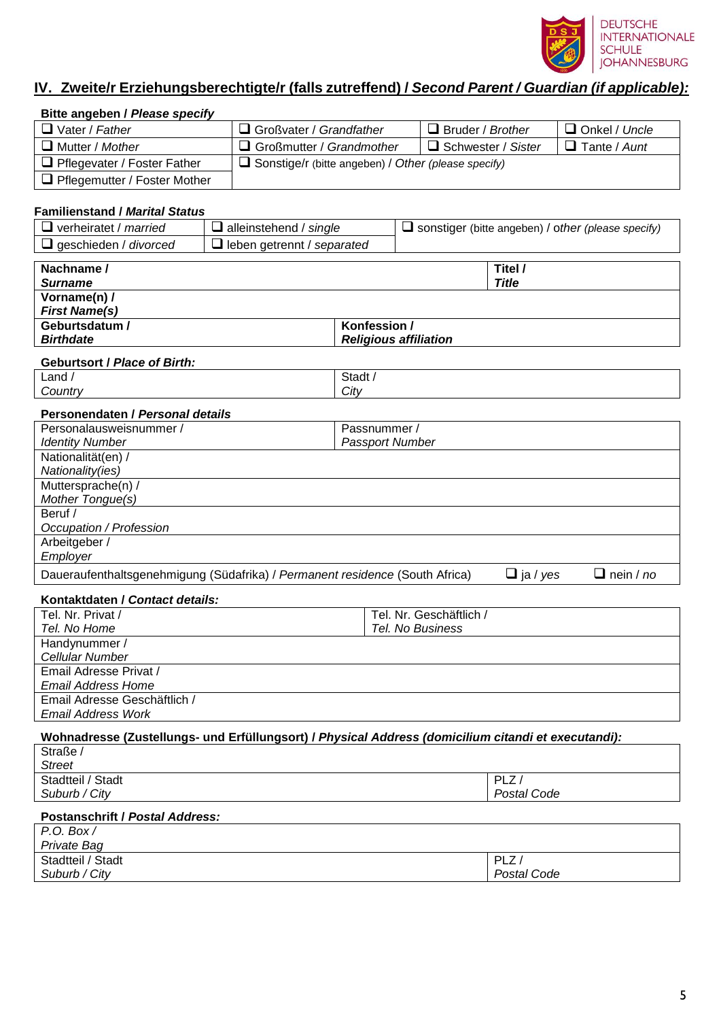

#### **IV. Zweite/r Erziehungsberechtigte/r (falls zutreffend) /** *Second Parent / Guardian (if applicable):*

**Bitte angeben /** *Please specify*

| $\Box$ Vater / Father                                                                               | $\Box$ Großvater / Grandfather    |                                                            | $\Box$ Bruder / Brother      |                           | $\Box$ Onkel / Uncle                                      |  |
|-----------------------------------------------------------------------------------------------------|-----------------------------------|------------------------------------------------------------|------------------------------|---------------------------|-----------------------------------------------------------|--|
| $\Box$ Mutter / Mother<br>$\Box$ Großmutter / Grandmother                                           |                                   |                                                            |                              | $\Box$ Schwester / Sister | $\Box$ Tante / Aunt                                       |  |
| $\Box$ Pflegevater / Foster Father                                                                  |                                   | $\Box$ Sonstige/r (bitte angeben) / Other (please specify) |                              |                           |                                                           |  |
| Pflegemutter / Foster Mother                                                                        |                                   |                                                            |                              |                           |                                                           |  |
|                                                                                                     |                                   |                                                            |                              |                           |                                                           |  |
| <b>Familienstand / Marital Status</b>                                                               |                                   |                                                            |                              |                           |                                                           |  |
| $\Box$ verheiratet / <i>married</i>                                                                 | $\Box$ alleinstehend / single     |                                                            |                              |                           | $\Box$ sonstiger (bitte angeben) / other (please specify) |  |
| $\Box$ geschieden / divorced                                                                        | $\Box$ leben getrennt / separated |                                                            |                              |                           |                                                           |  |
| Nachname /                                                                                          |                                   |                                                            |                              | Titel /                   |                                                           |  |
| <b>Surname</b>                                                                                      |                                   |                                                            |                              | <b>Title</b>              |                                                           |  |
| Vorname(n) /                                                                                        |                                   |                                                            |                              |                           |                                                           |  |
| <b>First Name(s)</b>                                                                                |                                   |                                                            |                              |                           |                                                           |  |
| Geburtsdatum /                                                                                      |                                   | Konfession /                                               |                              |                           |                                                           |  |
| <b>Birthdate</b>                                                                                    |                                   |                                                            | <b>Religious affiliation</b> |                           |                                                           |  |
| <b>Geburtsort / Place of Birth:</b>                                                                 |                                   |                                                            |                              |                           |                                                           |  |
| Land /                                                                                              |                                   | Stadt /                                                    |                              |                           |                                                           |  |
| Country                                                                                             |                                   | City                                                       |                              |                           |                                                           |  |
| Personendaten / Personal details                                                                    |                                   |                                                            |                              |                           |                                                           |  |
| Personalausweisnummer /                                                                             |                                   | Passnummer /                                               |                              |                           |                                                           |  |
| <b>Identity Number</b>                                                                              |                                   | <b>Passport Number</b>                                     |                              |                           |                                                           |  |
| Nationalität(en) /                                                                                  |                                   |                                                            |                              |                           |                                                           |  |
| Nationality(ies)                                                                                    |                                   |                                                            |                              |                           |                                                           |  |
| Muttersprache(n) /                                                                                  |                                   |                                                            |                              |                           |                                                           |  |
| <b>Mother Tongue(s)</b><br>Beruf /                                                                  |                                   |                                                            |                              |                           |                                                           |  |
| Occupation / Profession                                                                             |                                   |                                                            |                              |                           |                                                           |  |
| Arbeitgeber /                                                                                       |                                   |                                                            |                              |                           |                                                           |  |
| Employer                                                                                            |                                   |                                                            |                              |                           |                                                           |  |
| Daueraufenthaltsgenehmigung (Südafrika) / Permanent residence (South Africa)                        |                                   |                                                            |                              | $\Box$ ja / yes           | $\Box$ nein / no                                          |  |
|                                                                                                     |                                   |                                                            |                              |                           |                                                           |  |
| Kontaktdaten / Contact details:<br>Tel. Nr. Privat /                                                |                                   |                                                            | Tel. Nr. Geschäftlich /      |                           |                                                           |  |
| Tel. No Home                                                                                        |                                   |                                                            | Tel. No Business             |                           |                                                           |  |
| Handynummer /                                                                                       |                                   |                                                            |                              |                           |                                                           |  |
| <b>Cellular Number</b>                                                                              |                                   |                                                            |                              |                           |                                                           |  |
| Email Adresse Privat /                                                                              |                                   |                                                            |                              |                           |                                                           |  |
| Email Address Home                                                                                  |                                   |                                                            |                              |                           |                                                           |  |
|                                                                                                     | Email Adresse Geschäftlich /      |                                                            |                              |                           |                                                           |  |
| <b>Email Address Work</b>                                                                           |                                   |                                                            |                              |                           |                                                           |  |
| Wohnadresse (Zustellungs- und Erfüllungsort) / Physical Address (domicilium citandi et executandi): |                                   |                                                            |                              |                           |                                                           |  |
| Straße /                                                                                            |                                   |                                                            |                              |                           |                                                           |  |
| <b>Street</b><br>Stadtteil / Stadt                                                                  |                                   |                                                            |                              |                           |                                                           |  |
| Suburb / City                                                                                       |                                   | PLZ/<br>Postal Code                                        |                              |                           |                                                           |  |
|                                                                                                     |                                   |                                                            |                              |                           |                                                           |  |
| <b>Postanschrift / Postal Address:</b>                                                              |                                   |                                                            |                              |                           |                                                           |  |
| P.O. Box/                                                                                           |                                   |                                                            |                              |                           |                                                           |  |
| Private Bag<br>Stadtteil / Stadt                                                                    |                                   |                                                            |                              | PLZ/                      |                                                           |  |
| Suburb / City                                                                                       |                                   |                                                            |                              | Postal Code               |                                                           |  |
|                                                                                                     |                                   |                                                            |                              |                           |                                                           |  |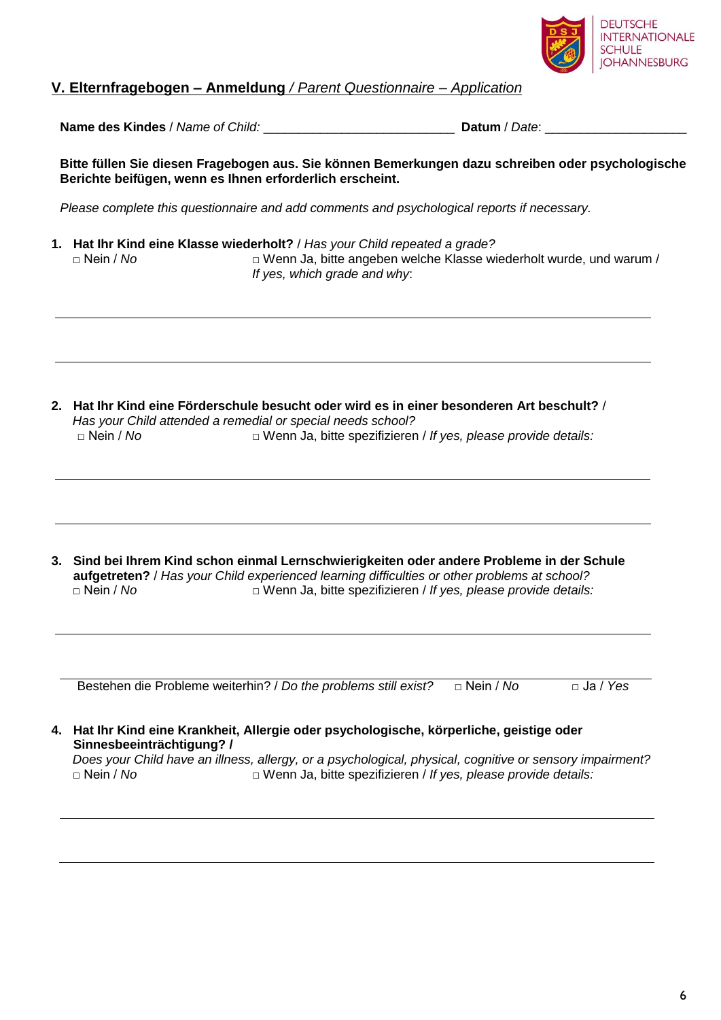

#### **V. Elternfragebogen – Anmeldung** */ Parent Questionnaire – Application*

**Name des Kindes** / *Name of Child:*  $\blacksquare$  **Datum** / *Date*:  $\blacksquare$ 

**Bitte füllen Sie diesen Fragebogen aus. Sie können Bemerkungen dazu schreiben oder psychologische Berichte beifügen, wenn es Ihnen erforderlich erscheint.** 

*Please complete this questionnaire and add comments and psychological reports if necessary.*

**1. Hat Ihr Kind eine Klasse wiederholt?** / *Has your Child repeated a grade?* □ Wenn Ja, bitte angeben welche Klasse wiederholt wurde, und warum / *If yes, which grade and why*:

**2. Hat Ihr Kind eine Förderschule besucht oder wird es in einer besonderen Art beschult?** / *Has your Child attended a remedial or special needs school?* □ Nein / No □ □ Wenn Ja, bitte spezifizieren / *If yes, please provide details:* 

**3. Sind bei Ihrem Kind schon einmal Lernschwierigkeiten oder andere Probleme in der Schule aufgetreten?** / *Has your Child experienced learning difficulties or other problems at school?* □ Wenn Ja, bitte spezifizieren / *If yes, please provide details:* 

Bestehen die Probleme weiterhin? / *Do the problems still exist*? □ Nein / *No* □ Ja / *Yes* 

# **4. Hat Ihr Kind eine Krankheit, Allergie oder psychologische, körperliche, geistige oder Sinnesbeeinträchtigung? /**

*Does your Child have an illness, allergy, or a psychological, physical, cognitive or sensory impairment?* □ Wenn Ja, bitte spezifizieren / *If yes, please provide details:*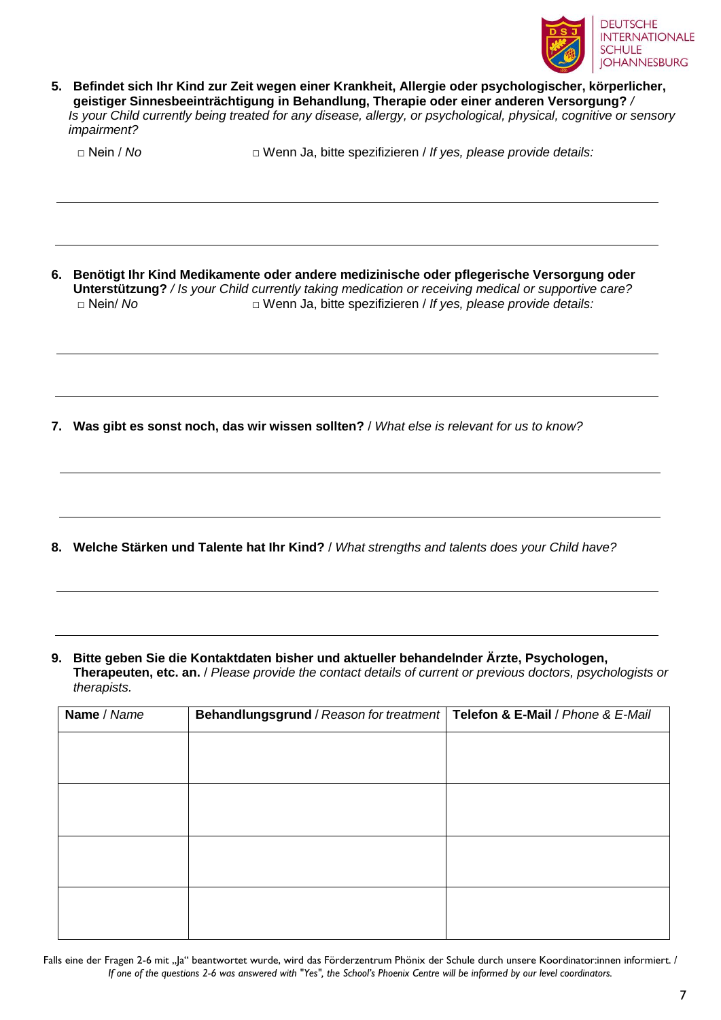

**5. Befindet sich Ihr Kind zur Zeit wegen einer Krankheit, Allergie oder psychologischer, körperlicher, geistiger Sinnesbeeinträchtigung in Behandlung, Therapie oder einer anderen Versorgung?** */ Is your Child currently being treated for any disease, allergy, or psychological, physical, cognitive or sensory impairment?* 

□ Nein / *No* □ Wenn Ja, bitte spezifizieren / *If yes, please provide details:*

**6. Benötigt Ihr Kind Medikamente oder andere medizinische oder pflegerische Versorgung oder Unterstützung?** */ Is your Child currently taking medication or receiving medical or supportive care?*  □ Nein/ *No* □ Wenn Ja, bitte spezifizieren / *If yes, please provide details:*

**7. Was gibt es sonst noch, das wir wissen sollten?** / *What else is relevant for us to know?*

- **8. Welche Stärken und Talente hat Ihr Kind?** / *What strengths and talents does your Child have?*
- **9. Bitte geben Sie die Kontaktdaten bisher und aktueller behandelnder Ärzte, Psychologen, Therapeuten, etc. an.** / *Please provide the contact details of current or previous doctors, psychologists or therapists.*

| Name / Name | Behandlungsgrund / Reason for treatment   Telefon & E-Mail / Phone & E-Mail |  |
|-------------|-----------------------------------------------------------------------------|--|
|             |                                                                             |  |
|             |                                                                             |  |
|             |                                                                             |  |
|             |                                                                             |  |
|             |                                                                             |  |
|             |                                                                             |  |
|             |                                                                             |  |
|             |                                                                             |  |

Falls eine der Fragen 2-6 mit "Ja" beantwortet wurde, wird das Förderzentrum Phönix der Schule durch unsere Koordinator:innen informiert. / *If one of the questions 2-6 was answered with "Yes", the School's Phoenix Centre will be informed by our level coordinators.*